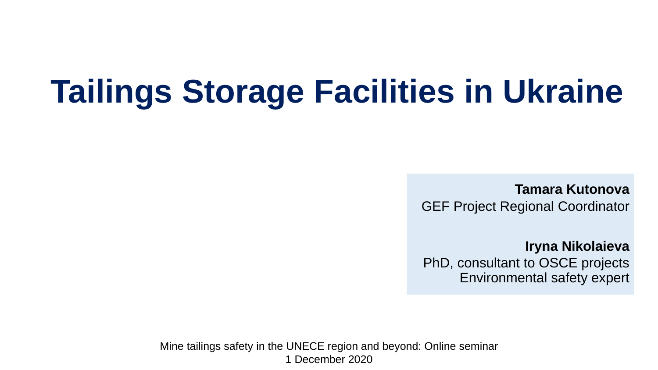# **Tailings Storage Facilities in Ukraine**

**Tamara Kutonova** GEF Project Regional Coordinator

**Iryna Nikolaieva**  PhD, consultant to OSCE projects Environmental safety expert

Mine tailings safety in the UNECE region and beyond: Online seminar 1 December 2020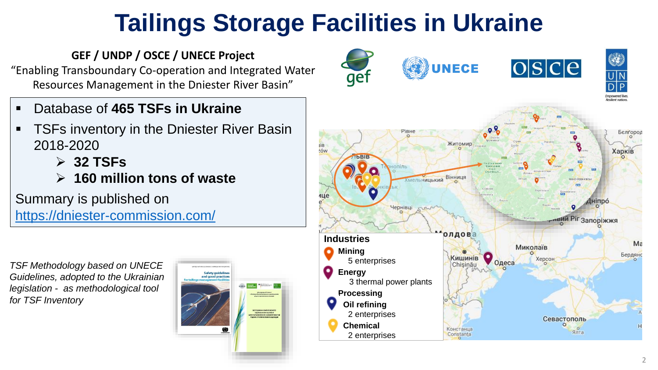### **Tailings Storage Facilities in Ukraine**

#### **GEF / UNDP / OSCE / UNECE Project**

"Enabling Transboundary Co-operation and Integrated Water Resources Management in the Dniester River Basin"

- Database of **465 TSFs in Ukraine**
- TSFs inventory in the Dniester River Basin 2018-2020
	- ➢ **32 TSFs**
	- ➢ **160 million tons of waste**

#### Summary is published on

<https://dniester-commission.com/>

۱  $\overline{O|S|C|e}$ **UNECE** gef PIBH Белгоро, Житомир Харків rów Хмельницький Вінниця HÍNDÓ Чернівці ивий Pir запоріжжя олдо **Industries**  $Ma$ Миколаїв **Mining Бердян** Кишинів Херсон 5 enterprises **Energy** 3 thermal power plants **Processing Oil refining** 2 enterprises Севастополь **Chemical** Констанца Ялта 2 enterprises Constanta

*TSF Methodology based on UNECE Guidelines, adopted to the Ukrainian legislation - as methodological tool for TSF Inventory*

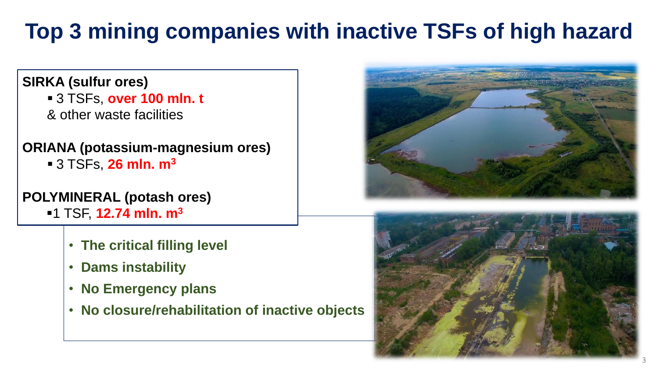### **Top 3 mining companies with inactive TSFs of high hazard**

#### **SIRKA (sulfur ores)**

▪ 3 TSFs, **over 100 mln. t**  & other waste facilities

#### **ORIANA (potassium-magnesium ores)**  ▪ 3 TSFs, **26 mln. m<sup>3</sup>**

#### **POLYMINERAL (potash ores)**

- ▪1 TSF, **12.74 mln. m3**
	- **The critical filling level**
	- **Dams instability**
	- **No Emergency plans**
	- **No closure/rehabilitation of inactive objects**



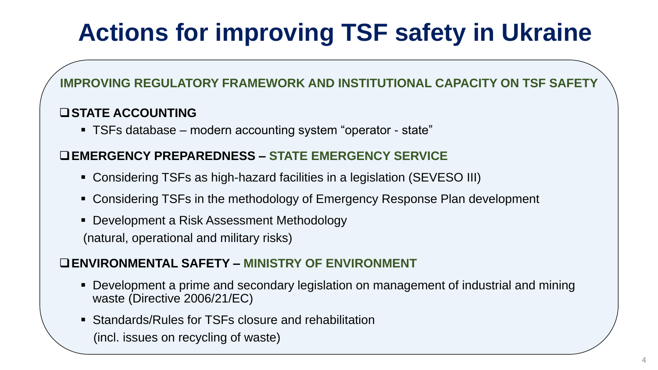## **Actions for improving TSF safety in Ukraine**

#### **IMPROVING REGULATORY FRAMEWORK AND INSTITUTIONAL CAPACITY ON TSF SAFETY**

#### ❑**STATE ACCOUNTING**

■ TSFs database – modern accounting system "operator - state"

#### ❑**EMERGENCY PREPAREDNESS – STATE EMERGENCY SERVICE**

- Considering TSFs as high-hazard facilities in a legislation (SEVESO III)
- Considering TSFs in the methodology of Emergency Response Plan development
- Development a Risk Assessment Methodology (natural, operational and military risks)

#### ❑**ENVIRONMENTAL SAFETY – MINISTRY OF ENVIRONMENT**

- Development a prime and secondary legislation on management of industrial and mining waste (Directive 2006/21/EC)
- Standards/Rules for TSFs closure and rehabilitation (incl. issues on recycling of waste)